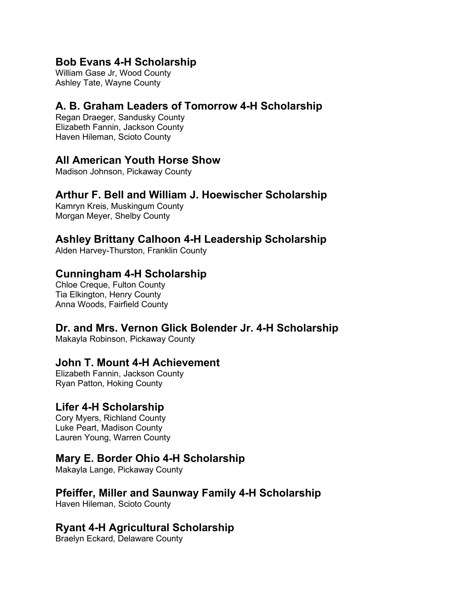#### **Bob Evans 4-H Scholarship**

William Gase Jr, Wood County Ashley Tate, Wayne County

### **A. B. Graham Leaders of Tomorrow 4-H Scholarship**

Regan Draeger, Sandusky County Elizabeth Fannin, Jackson County Haven Hileman, Scioto County

#### **All American Youth Horse Show**

Madison Johnson, Pickaway County

### **Arthur F. Bell and William J. Hoewischer Scholarship**

Kamryn Kreis, Muskingum County Morgan Meyer, Shelby County

### **Ashley Brittany Calhoon 4-H Leadership Scholarship**

Alden Harvey-Thurston, Franklin County

## **Cunningham 4-H Scholarship**

Chloe Creque, Fulton County Tia Elkington, Henry County Anna Woods, Fairfield County

## **Dr. and Mrs. Vernon Glick Bolender Jr. 4-H Scholarship**

Makayla Robinson, Pickaway County

## **John T. Mount 4-H Achievement**

Elizabeth Fannin, Jackson County Ryan Patton, Hoking County

#### **Lifer 4-H Scholarship**

Cory Myers, Richland County Luke Peart, Madison County Lauren Young, Warren County

#### **Mary E. Border Ohio 4-H Scholarship**

Makayla Lange, Pickaway County

## **Pfeiffer, Miller and Saunway Family 4-H Scholarship**

Haven Hileman, Scioto County

## **Ryant 4-H Agricultural Scholarship**

Braelyn Eckard, Delaware County